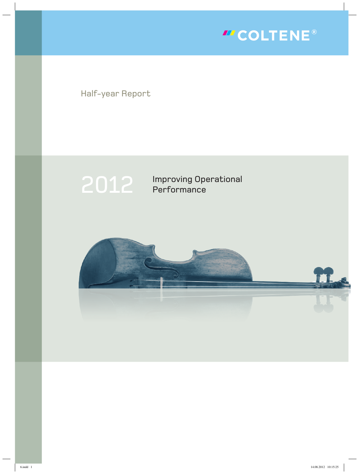

Half-year Report



2012 Improving Operational **Performance** 

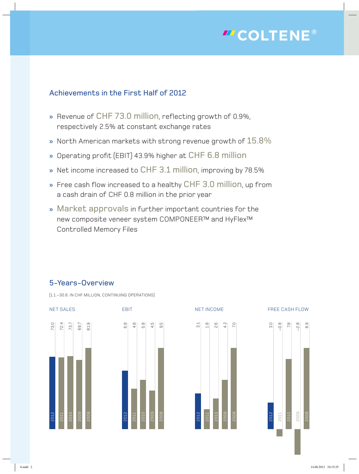

### Achievements in the First Half of 2012

- » Revenue of CHF 73.0 million, reflecting growth of 0.9%, respectively 2.5% at constant exchange rates
- » North American markets with strong revenue growth of 15.8%
- » Operating profit (EBIT) 43.9% higher at CHF 6.8 million
- » Net income increased to CHF 3.1 million, improving by 78.5%
- » Free cash flow increased to a healthy CHF 3.0 million, up from a cash drain of CHF 0.8 million in the prior year
- » Market approvals in further important countries for the new composite veneer system COMPONEER™ and HyFlex™ Controlled Memory Files

### 5-Years-Overview

(1.1.–30.6. IN CHF MILLION, CONTINUING OPERATIONS)







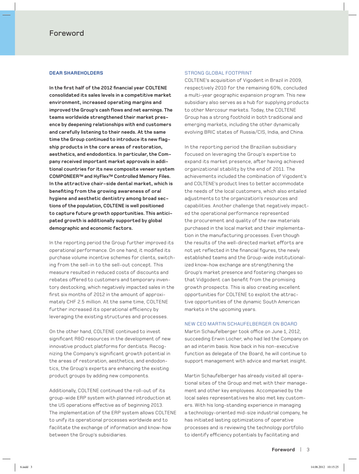### **dear shareholders**

In the first half of the 2012 financial year COLTENE **consolidated its sales levels in a competitive market environment, increased operating margins and improved the Group's cash flows and net earnings. The teams worldwide strengthened their market presence by deepening relationships with end customers and carefully listening to their needs. At the same time the Group continued to introduce its new flagship products in the core areas of restoration, aesthetics, and endodontics. In particular, the Company received important market approvals in additional countries for its new composite veneer system COMPONEER ™ and HyFlex™ Controlled Memory Files. In the attractive chair-side dental market, which is benefiting from the growing awareness of oral hygiene and aesthetic dentistry among broad sections of the population, COL TENE is well positioned to capture future growth opportunities. This anticipated growth is additionally supported by global demographic and economic factors.**

In the reporting period the Group further improved its operational performance. On one hand, it modified its purchase volume incentive schemes for clients, switching from the sell-in to the sell-out concept. This measure resulted in reduced costs of discounts and rebates offered to customers and temporary inventory destocking, which negatively impacted sales in the first six months of 2012 in the amount of approximately CHF 2.5 million. At the same time, COLTENE further increased its operational efficiency by leveraging the existing structures and processes.

On the other hand, COLTENE continued to invest significant R&D resources in the development of new innovative product platforms for dentists. Recognizing the Company's significant growth potential in the areas of restoration, aesthetics, and endodontics, the Group's experts are enhancing the existing product groups by adding new components.

Additionally, COLTENE continued the roll-out of its group-wide ERP system with planned introduction at the US operations effective as of beginning 2013. The implementation of the ERP system allows COLTENE to unify its operational processes worldwide and to facilitate the exchange of information and know-how between the Group's subsidiaries.

### STRONG GLOBAL FOOTPRINT

COLTENE's acquisition of Vigodent in Brazil in 2009, respectively 2010 for the remaining 60%, concluded a multi-year geographic expansion program. This new subsidiary also serves as a hub for supplying products to other Mercosur markets. Today, the COLTENE Group has a strong foothold in both traditional and emerging markets, including the other dynamically evolving BRIC states of Russia/CIS, India, and China.

In the reporting period the Brazilian subsidiary focused on leveraging the Group's expertise to expand its market presence, after having achieved organizational stability by the end of 2011. The achievements included the combination of Vigodent's and COLTENE's product lines to better accommodate the needs of the local customers, which also entailed adjustments to the organization's resources and capabilities. Another challenge that negatively impacted the operational performance represented the procurement and quality of the raw materials purchased in the local market and their implementation in the manufacturing processes. Even though the results of the well-directed market efforts are not yet reflected in the financial figures, the newly established teams and the Group-wide institutionalized know-how exchange are strengthening the Group's market presence and fostering changes so that Vidgodent can benefit from the promising growth prospects. This is also creating excellent opportunities for COLTENE to exploit the attractive opportunities of the dynamic South American markets in the upcoming years.

#### NEW CEO MARTIN SCHAUFELBERGER ON BOARD

Martin Schaufelberger took office on June 1, 2012, succeeding Erwin Locher, who had led the Company on an ad interim basis. Now back in his non-executive function as delegate of the Board, he will continue to support management with advice and market insight.

Martin Schaufelberger has already visited all operational sites of the Group and met with their management and other key employees. Accompanied by the local sales representatives he also met key customers. With his long-standing experience in managing a technology-oriented mid-size industrial company, he has initiated lasting optimizations of operative processes and is reviewing the technology portfolio to identify efficiency potentials by facilitating and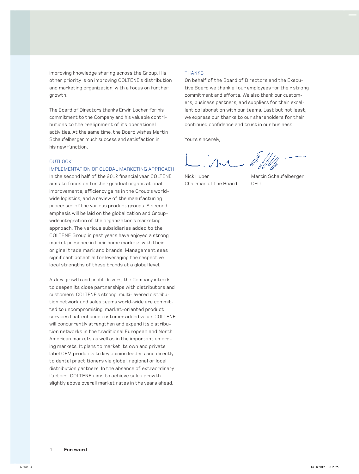improving knowledge sharing across the Group. His other priority is on improving COLTENE's distribution and marketing organization, with a focus on further growth.

The Board of Directors thanks Erwin Locher for his commitment to the Company and his valuable contributions to the realignment of its operational activities. At the same time, the Board wishes Martin Schaufelberger much success and satisfaction in his new function.

### OUTLOOK:

#### IMPLEMENTATION OF GLOBAL MARKETING APPROACH

In the second half of the 2012 financial year COLTENE aims to focus on further gradual organizational improvements, efficiency gains in the Group's worldwide logistics, and a review of the manufacturing processes of the various product groups. A second emphasis will be laid on the globalization and Groupwide integration of the organization's marketing approach. The various subsidiaries added to the COLTENE Group in past years have enjoyed a strong market presence in their home markets with their original trade mark and brands. Management sees significant potential for leveraging the respective local strengths of these brands at a global level.

As key growth and profit drivers, the Company intends to deepen its close partnerships with distributors and customers. COLTENE's strong, multi-layered distribution network and sales teams world-wide are committed to uncompromising, market-oriented product services that enhance customer added value. COLTENE will concurrently strengthen and expand its distribution networks in the traditional European and North American markets as well as in the important emerging markets. It plans to market its own and private label OEM products to key opinion leaders and directly to dental practitioners via global, regional or local distribution partners. In the absence of extraordinary factors, COLTENE aims to achieve sales growth slightly above overall market rates in the years ahead.

#### **THANKS**

On behalf of the Board of Directors and the Executive Board we thank all our employees for their strong commitment and efforts. We also thank our customers, business partners, and suppliers for their excellent collaboration with our teams. Last but not least, we express our thanks to our shareholders for their continued confidence and trust in our business.

Yours sincerely,

In 1,

Chairman of the Board

Nick Huber Martin Schaufelberger CEO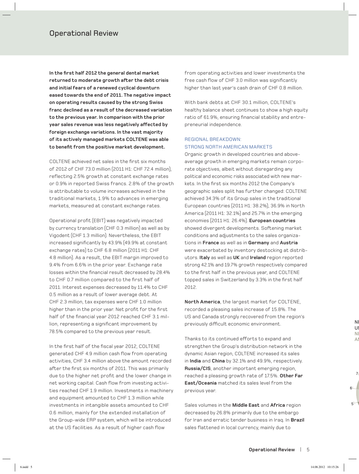**In the first half 2012 the general dental market returned to moderate growth after the debt crisis and initial fears of a renewed cyclical downturn eased towards the end of 2011. The negative impact on operating results caused by the strong Swiss franc declined as a result of the decreased variation to the previous year. In comparison with the prior year sales revenue was less negatively affected by foreign exchange variations. In the vast majority of its actively managed markets COL TENE was able to benefit from the positive market development.**

COLTENE achieved net sales in the first six months of 2012 of CHF 73.0 million (2011 H1: CHF 72.4 million), reflecting 2.5% growth at constant exchange rates or 0.9% in reported Swiss francs. 2.8% of the growth is attributable to volume increases achieved in the traditional markets, 1.9% to advances in emerging markets, measured at constant exchange rates.

Operational profit (EBIT) was negatively impacted by currency translation (CHF 0.3 million) as well as by Vigodent (CHF 1.3 million). Nevertheless, the EBIT increased significantly by 43.9% (49.9% at constant exchange rates) to CHF 6.8 million (2011 H1: CHF 4.8 million). As a result, the EBIT margin improved to 9.4% from 6.6% in the prior year. Exchange rate losses within the financial result decreased by 28.4% to CHF 0.7 million compared to the first half of 2011. Interest expenses decreased by 11.4% to CHF 0.5 million as a result of lower average debt. At CHF 2.3 million, tax expenses were CHF 1.0 million higher than in the prior year. Net profit for the first half of the financial year 2012 reached CHF 3.1 million, representing a significant improvement by 78.5% compared to the previous year result.

In the first half of the fiscal year 2012, COLTENE generated CHF 4.9 million cash flow from operating activities, CHF 3.4 million above the amount recorded after the first six months of 2011. This was primarily due to the higher net profit and the lower change in net working capital. Cash flow from investing activities reached CHF 1.9 million. Investments in machinery and equipment amounted to CHF 1.3 million while investments in intangible assets amounted to CHF 0.6 million, mainly for the extended installation of the Group-wide ERP system, which will be introduced at the US facilities. As a result of higher cash flow

from operating activities and lower investments the free cash flow of CHF 3.0 million was significantly higher than last year's cash drain of CHF 0.8 million.

With bank debts at CHF 30.1 million, COLTENE's healthy balance sheet continues to show a high equity ratio of 61.9%, ensuring financial stability and entrepreneurial independence.

### REGIONAL BREAKDOWN: STRONG NORTH AMERICAN MARKETS

Organic growth in developed countries and aboveaverage growth in emerging markets remain corporate objectives, albeit without disregarding any political and economic risks associated with new markets. In the first six months 2012 the Company's geographic sales split has further changed: COLTENE achieved 34.3% of its Group sales in the traditional European countries (2011 H1: 38.2%), 36.9% in North America (2011 H1: 32.1%) and 25.7% in the emerging economies (2011 H1: 26.4%). **European countries** showed divergent developments. Softening market conditions and adjustments to the sales organizations in **France** as well as in **Germany** and **Austria** were exacerbated by inventory destocking at distributors. **Italy** as well as **UK** and **Ireland** region reported strong 42.1% and 19.7% growth respectively compared to the first half in the previous year, and COLTENE topped sales in Switzerland by 3.3% in the first half 2012.

**North America**, the largest market for COLTENE, recorded a pleasing sales increase of 15.8%. The US and Canada strongly recovered from the region's previously difficult economic environment.

Thanks to its continued efforts to expand and strengthen the Group's distribution network in the dynamic Asian region, COLTENE increased its sales in **India** and **China** by 32.1% and 49.9%, respectively. **Russia/CIS**, another important emerging region, reached a pleasing growth rate of 17.5%. **Other Far East/Oceania** matched its sales level from the previous year.

Sales volumes in the **Middle East** and **Africa** region decreased by 26.8% primarily due to the embargo for Iran and erratic tender business in Iraq. In **Brazil** sales flattened in local currency, mainly due to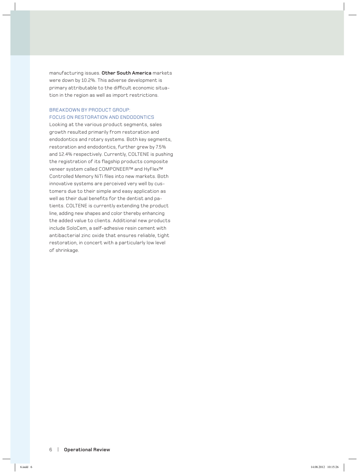manufacturing issues. **Other South America** markets were down by 10.2%. This adverse development is primary attributable to the difficult economic situation in the region as well as import restrictions.

### BREAKDOWN BY PRODUCT GROUP: FOCUS ON RESTORATION AND ENDODONTICS

Looking at the various product segments, sales growth resulted primarily from restoration and endodontics and rotary systems. Both key segments, restoration and endodontics, further grew by 7.5% and 12.4% respectively. Currently, COLTENE is pushing the registration of its flagship products composite veneer system called COMPONEER™ and HyFlex™ Controlled Memory NiTi files into new markets. Both innovative systems are perceived very well by customers due to their simple and easy application as well as their dual benefits for the dentist and patients. COLTENE is currently extending the product line, adding new shapes and color thereby enhancing the added value to clients. Additional new products include SoloCem, a self-adhesive resin cement with antibacterial zinc oxide that ensures reliable, tight restoration, in concert with a particularly low level of shrinkage.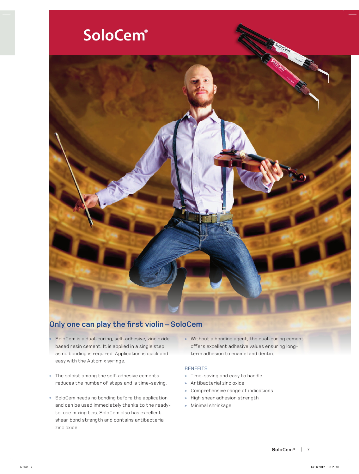# SoloCem®



### **Only one can play the first violin – SoloCem**

- » SoloCem is a dual-curing, self-adhesive, zinc oxide based resin cement. It is applied in a single step as no bonding is required. Application is quick and easy with the Automix syringe.
- » The soloist among the self-adhesive cements reduces the number of steps and is time-saving.
- » SoloCem needs no bonding before the application and can be used immediately thanks to the readyto-use mixing tips. SoloCem also has excellent shear bond strength and contains antibacterial zinc oxide.
- » Without a bonding agent, the dual-curing cement offers excellent adhesive values ensuring longterm adhesion to enamel and dentin.

### **BENEFITS**

- » Time-saving and easy to handle
- » Antibacterial zinc oxide
- » Comprehensive range of indications
- » High shear adhesion strength
- » Minimal shrinkage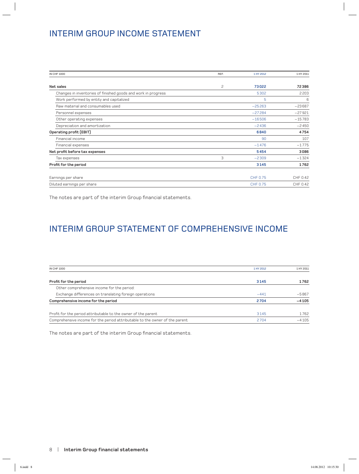## INTERIM GROUP INCOME STATEMENT

| <b>IN CHF 1000</b>                                            | REF. | 1 HY 2012 | 1 HY 2011 |
|---------------------------------------------------------------|------|-----------|-----------|
| Net sales                                                     | 2    | 73022     | 72386     |
| Changes in inventories of finished goods and work in progress |      | 5302      | 2203      |
| Work performed by entity and capitalized                      |      | 5         | 6         |
| Raw material and consumables used                             |      | $-25263$  | $-23687$  |
| Personnel expenses                                            |      | $-27284$  | $-27921$  |
| Other operating expenses                                      |      | $-16506$  | $-15783$  |
| Depreciation and amortization                                 |      | $-2436$   | $-2450$   |
| Operating profit (EBIT)                                       |      | 6840      | 4754      |
| Financial income                                              |      | 90        | 107       |
| Financial expenses                                            |      | $-1476$   | $-1775$   |
| Net profit before tax expenses                                |      | 5454      | 3086      |
| Tax expenses                                                  | 3    | $-2309$   | $-1324$   |
| Profit for the period                                         |      | 3145      | 1762      |
| Earnings per share                                            |      | CHF 0.75  | CHF 0.42  |
| Diluted earnings per share                                    |      | CHF 0.75  | CHF 0.42  |

The notes are part of the interim Group financial statements.

# INTERIM GROUP STATEMENT OF COMPREHENSIVE INCOME

| <b>IN CHF 1000</b>                                                          | 1 HY 2012 | 1 HY 2011 |
|-----------------------------------------------------------------------------|-----------|-----------|
| Profit for the period                                                       | 3145      | 1762      |
| Other comprehensive income for the period:                                  |           |           |
| Exchange differences on translating foreign operations                      | $-441$    | $-5867$   |
| Comprehensive income for the period                                         | 2704      | $-4105$   |
| Profit for the period attributable to the owner of the parent               | 3145      | 1762      |
| Comprehensive income for the period attributable to the owner of the parent | 2704      | $-4105$   |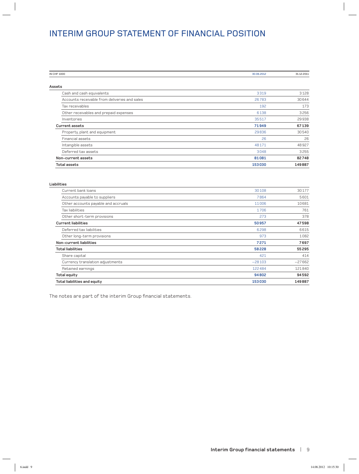## INTERIM GROUP STATEMENT OF FINANCIAL POSITION

| IN CHF 1000                                   | 30.06.2012 | 31.12.2011 |
|-----------------------------------------------|------------|------------|
|                                               |            |            |
| Assets                                        |            |            |
| Cash and cash equivalents                     | 3319       | 3128       |
| Accounts receivable from deliveries and sales | 26783      | 30644      |
| Tax receivables                               | 192        | 173        |
| Other receivables and prepaid expenses        | 6138       | 3256       |
| Inventories                                   | 35517      | 29938      |
| <b>Current assets</b>                         | 71949      | 67139      |
| Property, plant and equipment                 | 29836      | 30540      |
| Financial assets                              | 26         | 26         |
| Intangible assets                             | 48171      | 48927      |
| Deferred tax assets                           | 3048       | 3255       |
| Non-current assets                            | 81081      | 82748      |
| <b>Total assets</b>                           | 153030     | 149887     |
|                                               |            |            |

| . . | с | . . |  |
|-----|---|-----|--|
|     |   |     |  |

| <b>Total liabilities and equity</b> | 153030   | 149887   |
|-------------------------------------|----------|----------|
| <b>Total equity</b>                 | 94802    | 94592    |
| Retained earnings                   | 122484   | 121840   |
| Currency translation adjustments    | $-28103$ | $-27662$ |
| Share capital                       | 421      | 414      |
| <b>Total liabilities</b>            | 58228    | 55295    |
| Non-current liabilities             | 7271     | 7697     |
| Other long-term provisions          | 973      | 1082     |
| Deferred tax liabilities            | 6298     | 6615     |
| <b>Current liabilities</b>          | 50957    | 47598    |
| Other short-term provisions         | 273      | 378      |
| Tax liabilities                     | 1706     | 761      |
| Other accounts payable and accruals | 11006    | 10681    |
| Accounts payable to suppliers       | 7864     | 5601     |
| Current bank loans                  | 30108    | 30177    |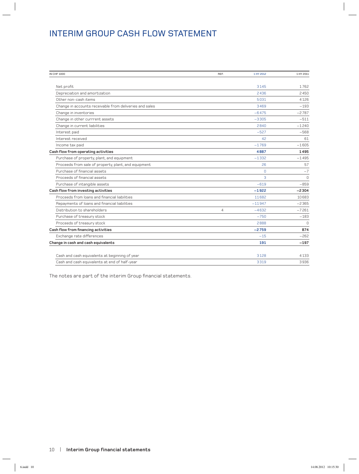### INTERIM GROUP CASH FLOW STATEMENT

| IN CHF 1000                                             | REF.           | 1 HY 2012      | 1 HY 2011 |
|---------------------------------------------------------|----------------|----------------|-----------|
|                                                         |                |                |           |
| Net profit                                              |                | 3145           | 1762      |
| Depreciation and amortization                           |                | 2436           | 2450      |
| Other non-cash items                                    |                | 5031           | 4126      |
| Change in accounts receivable from deliveries and sales |                | 3469           | $-193$    |
| Change in inventories                                   |                | $-6475$        | $-2787$   |
| Change in other currrent assets                         |                | $-3305$        | $-511$    |
| Change in current liabilities                           |                | 2840           | $-1240$   |
| Interest paid                                           |                | $-527$         | $-568$    |
| Interest received                                       |                | 42             | 61        |
| Income tax paid                                         |                | $-1769$        | $-1605$   |
| Cash flow from operating activities                     |                | 4887           | 1495      |
| Purchase of property, plant, and equipment              |                | $-1332$        | $-1495$   |
| Proceeds from sale of property, plant, and equipment    |                | 26             | 57        |
| Purchase of financial assets                            |                | 0              | $-7$      |
| Proceeds of financial assets                            |                | $\overline{a}$ | $\Omega$  |
| Purchase of intangible assets                           |                | $-619$         | $-859$    |
| Cash flow from investing activities                     |                | $-1922$        | $-2304$   |
| Proceeds from loans and financial liabilities           |                | 11682          | 10683     |
| Repayments of loans and financial liabilities           |                | $-11947$       | $-2365$   |
| Distribution to shareholders                            | $\overline{4}$ | $-4632$        | $-7261$   |
| Purchase of treasury stock                              |                | $-750$         | $-183$    |
| Proceeds of treasury stock                              |                | 2888           | $\Omega$  |
| Cash flow from financing activities                     |                | $-2759$        | 874       |
| Exchange rate differences                               |                | $-15$          | $-262$    |
| Change in cash and cash equivalents                     |                | 191            | $-197$    |
| Cash and cash equivalents at beginning of year          |                | 3128           | 4133      |
| Cash and cash equivalents at end of half-year           |                | 3319           | 3936      |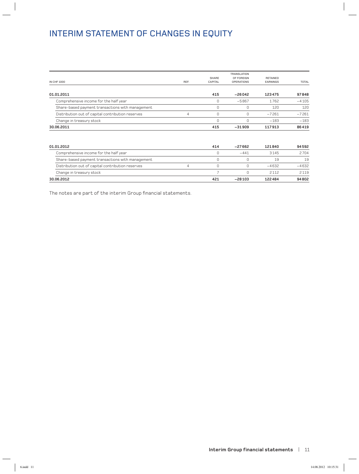# INTERIM STATEMENT OF CHANGES IN EQUITY

|                                                   |      |                | <b>TRANSLATION</b> |                 |              |
|---------------------------------------------------|------|----------------|--------------------|-----------------|--------------|
|                                                   |      | SHARE          | OF FOREIGN         | <b>RETAINED</b> |              |
| <b>IN CHF 1000</b>                                | REF. | CAPITAL        | <b>OPERATIONS</b>  | <b>EARNINGS</b> | <b>TOTAL</b> |
| 01.01.2011                                        |      | 415            | $-26042$           | 123475          | 97848        |
| Comprehensive income for the half year            |      | 0              | $-5867$            | 1762            | $-4105$      |
| Share-based payment transactions with management  |      | 0              | 0                  | 120             | 120          |
| Distribution out of capital contribution reserves | 4    | $\mathbf 0$    | $\Omega$           | $-7261$         | $-7261$      |
| Change in treasury stock                          |      | 0              | $\Omega$           | $-183$          | $-183$       |
| 30.06.2011                                        |      | 415            | $-31909$           | 117913          | 86419        |
| 01.01.2012                                        |      | 414            | $-27662$           | 121840          | 94592        |
| Comprehensive income for the half year            |      | $\Omega$       | $-441$             | 3145            | 2704         |
| Share-based payment transactions with management  |      | 0              | 0                  | 19              | 19           |
| Distribution out of capital contribution reserves | 4    | 0              | $\Omega$           | $-4632$         | $-4632$      |
| Change in treasury stock                          |      | $\overline{7}$ | $\Omega$           | 2112            | 2119         |
| 30.06.2012                                        |      | 421            | $-28103$           | 122484          | 94802        |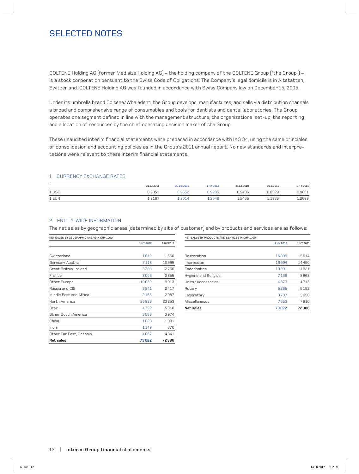## SELECTED NOTES

COLTENE Holding AG (former Medisize Holding AG) – the holding company of the COLTENE Group ("the Group") – is a stock corporation persuant to the Swiss Code of Obligations. The Company's legal domicile is in Altstätten, Switzerland. COLTENE Holding AG was founded in accordance with Swiss Company law on December 15, 2005.

Under its umbrella brand Coltène/Whaledent, the Group develops, manufactures, and sells via distribution channels a broad and comprehensive range of consumables and tools for dentists and dental laboratories. The Group operates one segment defined in line with the management structure, the organizational set-up, the reporting and allocation of resources by the chief operating decision maker of the Group.

These unaudited interim financial statements were prepared in accordance with IAS 34, using the same principles of consolidation and accounting policies as in the Group's 2011 annual report. No new standards and interpretations were relevant to these interim financial statements.

### 1 CURRENCY EXCHANGE RATES

|       | 31.12.2011 | 30.06.2012 | HY 2012 | 31.12.2010 | 30.6.2011 | L HY 2011 |
|-------|------------|------------|---------|------------|-----------|-----------|
| 1 USD | 0.9351     | 0.9552     | ).9285  | 0.9406     | 0.8329    | 0.9061    |
| 1 EUR | 1.2167     | 2014       | .2046   | .2465      | 1985      | .2699     |

### 2 ENTITY-WIDE INFORMATION

The net sales by geographic areas (determined by site of customer) and by products and services are as follows:

| NET SALES BY GEOGRAPHIC AREAS IN CHF 1000 |           |           |
|-------------------------------------------|-----------|-----------|
|                                           | 1 HY 2012 | 1 HY 2011 |
|                                           |           |           |
| Switzerland                               | 1612      | 1560      |
| Germany, Austria                          | 7118      | 10565     |
| Great Britain, Ireland                    | 3303      | 2760      |
| France                                    | 3006      | 2855      |
| Other Europe                              | 10032     | 9913      |
| Russia and CIS                            | 2841      | 2417      |
| Middle East and Africa                    | 2186      | 2987      |
| North America                             | 26928     | 23253     |
| Brazil                                    | 4792      | 5310      |
| Other South America                       | 3568      | 3974      |
| China                                     | 1620      | 1081      |
| India                                     | 1149      | 870       |
| Other Far East, Oceania                   | 4867      | 4841      |
| Net sales                                 | 73022     | 72386     |

NET SALES BY PRODUCTS AND SERVICES IN CHF 1000

| Net sales            | 73022 | 72386 |
|----------------------|-------|-------|
| Miscellaneous        | 7653  | 7910  |
| Laboratory           | 3707  | 3658  |
| Rotary               | 5365  | 5152  |
| Units/Accessories    | 4877  | 4713  |
| Hygiene and Surgical | 7136  | 8868  |
| Endodontics          | 13291 | 11821 |
| Impression           | 13994 | 14450 |
| Restoration          | 16999 | 15814 |

1 HY 2012 1 HY 2011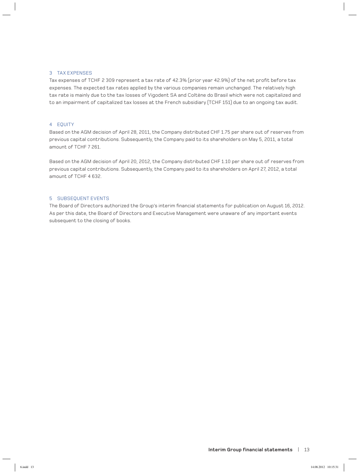### 3 TAX EXPENSES

Tax expenses of TCHF 2 309 represent a tax rate of 42.3% (prior year 42.9%) of the net profit before tax expenses. The expected tax rates applied by the various companies remain unchanged. The relatively high tax rate is mainly due to the tax losses of Vigodent SA and Coltène do Brasil which were not capitalized and to an impairment of capitalized tax losses at the French subsidiary (TCHF 151) due to an ongoing tax audit.

#### 4 EQUITY

Based on the AGM decision of April 28, 2011, the Company distributed CHF 1.75 per share out of reserves from previous capital contributions. Subsequently, the Company paid to its shareholders on May 5, 2011, a total amount of TCHF 7 261.

Based on the AGM decision of April 20, 2012, the Company distributed CHF 1.10 per share out of reserves from previous capital contributions. Subsequently, the Company paid to its shareholders on April 27, 2012, a total amount of TCHF 4 632.

### 5 SUBSEQUENT EVENTS

The Board of Directors authorized the Group's interim financial statements for publication on August 16, 2012. As per this date, the Board of Directors and Executive Management were unaware of any important events subsequent to the closing of books.